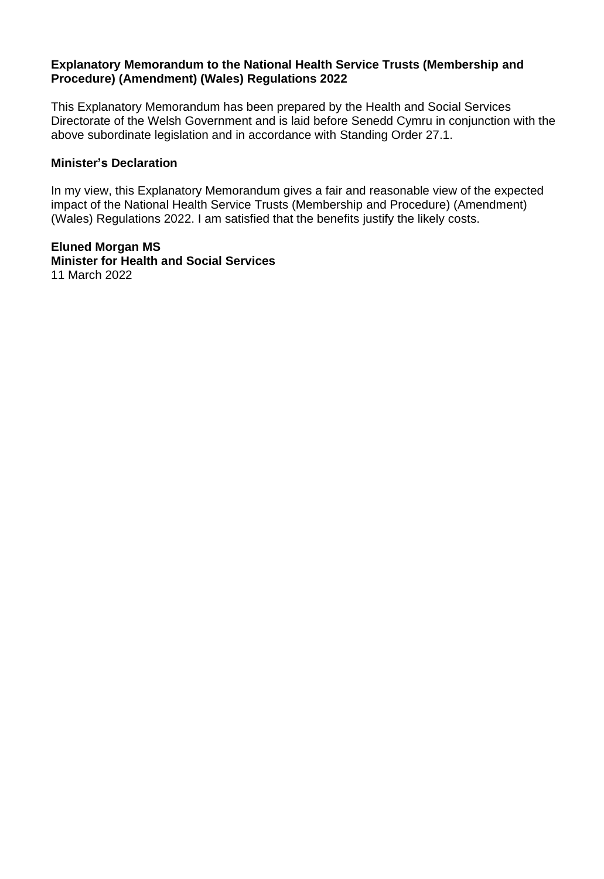#### **Explanatory Memorandum to the National Health Service Trusts (Membership and Procedure) (Amendment) (Wales) Regulations 2022**

This Explanatory Memorandum has been prepared by the Health and Social Services Directorate of the Welsh Government and is laid before Senedd Cymru in conjunction with the above subordinate legislation and in accordance with Standing Order 27.1.

#### **Minister's Declaration**

In my view, this Explanatory Memorandum gives a fair and reasonable view of the expected impact of the National Health Service Trusts (Membership and Procedure) (Amendment) (Wales) Regulations 2022. I am satisfied that the benefits justify the likely costs.

**Eluned Morgan MS Minister for Health and Social Services** 11 March 2022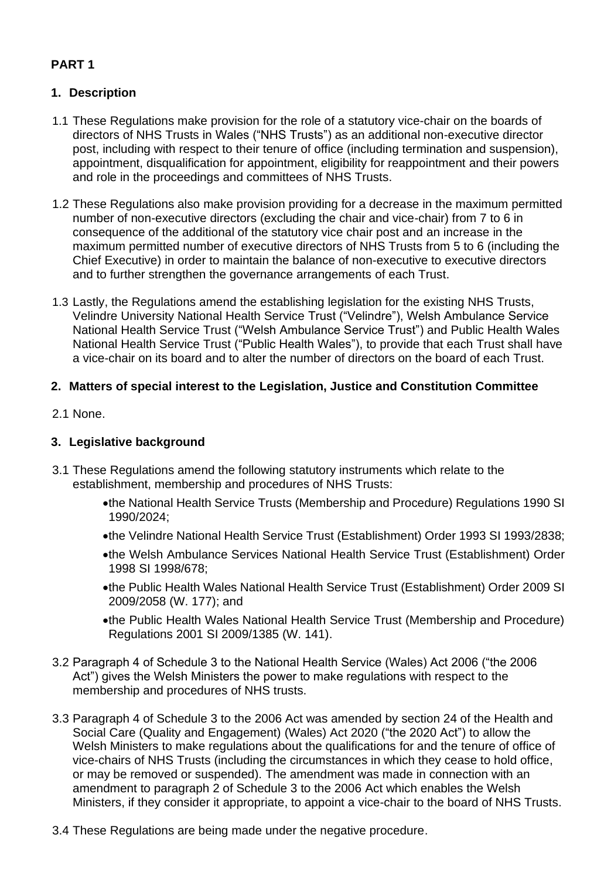# **PART 1**

# **1. Description**

- 1.1 These Regulations make provision for the role of a statutory vice-chair on the boards of directors of NHS Trusts in Wales ("NHS Trusts") as an additional non-executive director post, including with respect to their tenure of office (including termination and suspension), appointment, disqualification for appointment, eligibility for reappointment and their powers and role in the proceedings and committees of NHS Trusts.
- 1.2 These Regulations also make provision providing for a decrease in the maximum permitted number of non-executive directors (excluding the chair and vice-chair) from 7 to 6 in consequence of the additional of the statutory vice chair post and an increase in the maximum permitted number of executive directors of NHS Trusts from 5 to 6 (including the Chief Executive) in order to maintain the balance of non-executive to executive directors and to further strengthen the governance arrangements of each Trust.
- 1.3 Lastly, the Regulations amend the establishing legislation for the existing NHS Trusts, Velindre University National Health Service Trust ("Velindre"), Welsh Ambulance Service National Health Service Trust ("Welsh Ambulance Service Trust") and Public Health Wales National Health Service Trust ("Public Health Wales"), to provide that each Trust shall have a vice-chair on its board and to alter the number of directors on the board of each Trust.

# **2. Matters of special interest to the Legislation, Justice and Constitution Committee**

2.1 None.

# **3. Legislative background**

- 3.1 These Regulations amend the following statutory instruments which relate to the establishment, membership and procedures of NHS Trusts:
	- •the National Health Service Trusts (Membership and Procedure) Regulations 1990 SI 1990/2024;
	- •the Velindre National Health Service Trust (Establishment) Order 1993 SI 1993/2838;
	- •the Welsh Ambulance Services National Health Service Trust (Establishment) Order 1998 SI 1998/678;
	- •the Public Health Wales National Health Service Trust (Establishment) Order 2009 SI 2009/2058 (W. 177); and
	- •the Public Health Wales National Health Service Trust (Membership and Procedure) Regulations 2001 SI 2009/1385 (W. 141).
- 3.2 Paragraph 4 of Schedule 3 to the National Health Service (Wales) Act 2006 ("the 2006 Act") gives the Welsh Ministers the power to make regulations with respect to the membership and procedures of NHS trusts.
- 3.3 Paragraph 4 of Schedule 3 to the 2006 Act was amended by section 24 of the Health and Social Care (Quality and Engagement) (Wales) Act 2020 ("the 2020 Act") to allow the Welsh Ministers to make regulations about the qualifications for and the tenure of office of vice-chairs of NHS Trusts (including the circumstances in which they cease to hold office, or may be removed or suspended). The amendment was made in connection with an amendment to paragraph 2 of Schedule 3 to the 2006 Act which enables the Welsh Ministers, if they consider it appropriate, to appoint a vice-chair to the board of NHS Trusts.
- 3.4 These Regulations are being made under the negative procedure.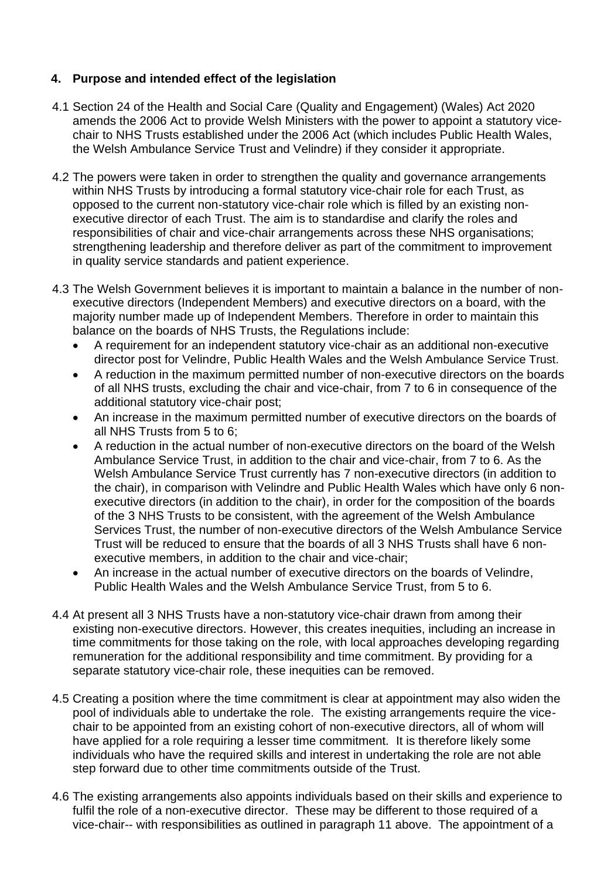# **4. Purpose and intended effect of the legislation**

- 4.1 Section 24 of the Health and Social Care (Quality and Engagement) (Wales) Act 2020 amends the 2006 Act to provide Welsh Ministers with the power to appoint a statutory vicechair to NHS Trusts established under the 2006 Act (which includes Public Health Wales, the Welsh Ambulance Service Trust and Velindre) if they consider it appropriate.
- 4.2 The powers were taken in order to strengthen the quality and governance arrangements within NHS Trusts by introducing a formal statutory vice-chair role for each Trust, as opposed to the current non-statutory vice-chair role which is filled by an existing nonexecutive director of each Trust. The aim is to standardise and clarify the roles and responsibilities of chair and vice-chair arrangements across these NHS organisations; strengthening leadership and therefore deliver as part of the commitment to improvement in quality service standards and patient experience.
- 4.3 The Welsh Government believes it is important to maintain a balance in the number of nonexecutive directors (Independent Members) and executive directors on a board, with the majority number made up of Independent Members. Therefore in order to maintain this balance on the boards of NHS Trusts, the Regulations include:
	- A requirement for an independent statutory vice-chair as an additional non-executive director post for Velindre, Public Health Wales and the Welsh Ambulance Service Trust.
	- A reduction in the maximum permitted number of non-executive directors on the boards of all NHS trusts, excluding the chair and vice-chair, from 7 to 6 in consequence of the additional statutory vice-chair post;
	- An increase in the maximum permitted number of executive directors on the boards of all NHS Trusts from 5 to 6;
	- A reduction in the actual number of non-executive directors on the board of the Welsh Ambulance Service Trust, in addition to the chair and vice-chair, from 7 to 6. As the Welsh Ambulance Service Trust currently has 7 non-executive directors (in addition to the chair), in comparison with Velindre and Public Health Wales which have only 6 nonexecutive directors (in addition to the chair), in order for the composition of the boards of the 3 NHS Trusts to be consistent, with the agreement of the Welsh Ambulance Services Trust, the number of non-executive directors of the Welsh Ambulance Service Trust will be reduced to ensure that the boards of all 3 NHS Trusts shall have 6 nonexecutive members, in addition to the chair and vice-chair;
	- An increase in the actual number of executive directors on the boards of Velindre, Public Health Wales and the Welsh Ambulance Service Trust, from 5 to 6.
- 4.4 At present all 3 NHS Trusts have a non-statutory vice-chair drawn from among their existing non-executive directors. However, this creates inequities, including an increase in time commitments for those taking on the role, with local approaches developing regarding remuneration for the additional responsibility and time commitment. By providing for a separate statutory vice-chair role, these inequities can be removed.
- 4.5 Creating a position where the time commitment is clear at appointment may also widen the pool of individuals able to undertake the role. The existing arrangements require the vicechair to be appointed from an existing cohort of non-executive directors, all of whom will have applied for a role requiring a lesser time commitment. It is therefore likely some individuals who have the required skills and interest in undertaking the role are not able step forward due to other time commitments outside of the Trust.
- 4.6 The existing arrangements also appoints individuals based on their skills and experience to fulfil the role of a non-executive director. These may be different to those required of a vice-chair-- with responsibilities as outlined in paragraph 11 above. The appointment of a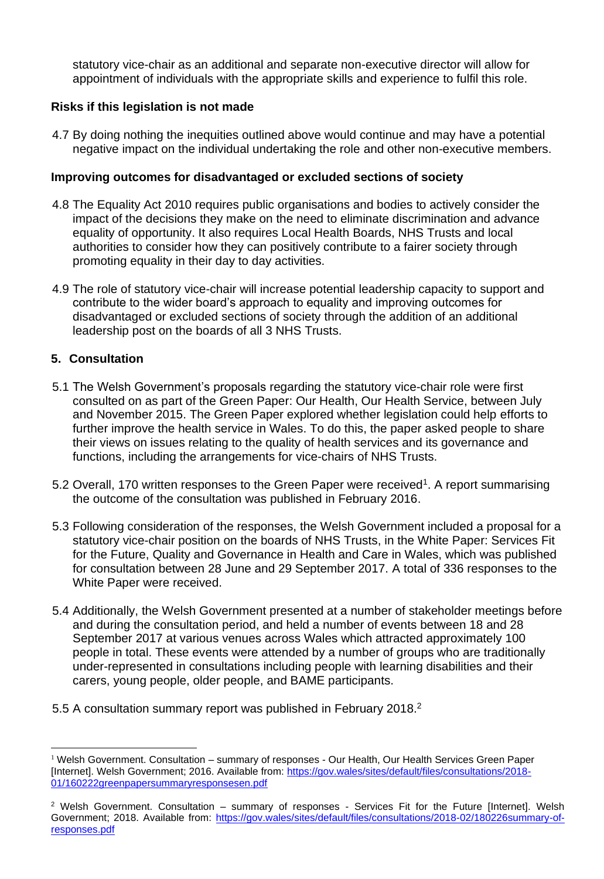statutory vice-chair as an additional and separate non-executive director will allow for appointment of individuals with the appropriate skills and experience to fulfil this role.

### **Risks if this legislation is not made**

4.7 By doing nothing the inequities outlined above would continue and may have a potential negative impact on the individual undertaking the role and other non-executive members.

# **Improving outcomes for disadvantaged or excluded sections of society**

- 4.8 The Equality Act 2010 requires public organisations and bodies to actively consider the impact of the decisions they make on the need to eliminate discrimination and advance equality of opportunity. It also requires Local Health Boards, NHS Trusts and local authorities to consider how they can positively contribute to a fairer society through promoting equality in their day to day activities.
- 4.9 The role of statutory vice-chair will increase potential leadership capacity to support and contribute to the wider board's approach to equality and improving outcomes for disadvantaged or excluded sections of society through the addition of an additional leadership post on the boards of all 3 NHS Trusts.

# **5. Consultation**

- 5.1 The Welsh Government's proposals regarding the statutory vice-chair role were first consulted on as part of the Green Paper: Our Health, Our Health Service, between July and November 2015. The Green Paper explored whether legislation could help efforts to further improve the health service in Wales. To do this, the paper asked people to share their views on issues relating to the quality of health services and its governance and functions, including the arrangements for vice-chairs of NHS Trusts.
- 5.2 Overall, 170 written responses to the Green Paper were received<sup>1</sup>. A report summarising the outcome of the consultation was published in February 2016.
- 5.3 Following consideration of the responses, the Welsh Government included a proposal for a statutory vice-chair position on the boards of NHS Trusts, in the White Paper: Services Fit for the Future, Quality and Governance in Health and Care in Wales, which was published for consultation between 28 June and 29 September 2017. A total of 336 responses to the White Paper were received.
- 5.4 Additionally, the Welsh Government presented at a number of stakeholder meetings before and during the consultation period, and held a number of events between 18 and 28 September 2017 at various venues across Wales which attracted approximately 100 people in total. These events were attended by a number of groups who are traditionally under-represented in consultations including people with learning disabilities and their carers, young people, older people, and BAME participants.
- 5.5 A consultation summary report was published in February 2018.<sup>2</sup>

<sup>&</sup>lt;sup>1</sup> Welsh Government. Consultation – summary of responses - Our Health, Our Health Services Green Paper [Internet]. Welsh Government; 2016. Available from: [https://gov.wales/sites/default/files/consultations/2018-](https://gov.wales/sites/default/files/consultations/2018-01/160222greenpapersummaryresponsesen.pdf) [01/160222greenpapersummaryresponsesen.pdf](https://gov.wales/sites/default/files/consultations/2018-01/160222greenpapersummaryresponsesen.pdf)

<sup>2</sup> Welsh Government. Consultation – summary of responses - Services Fit for the Future [Internet]. Welsh Government; 2018. Available from: [https://gov.wales/sites/default/files/consultations/2018-02/180226summary-of](https://gov.wales/sites/default/files/consultations/2018-02/180226summary-of-responses.pdf)[responses.pdf](https://gov.wales/sites/default/files/consultations/2018-02/180226summary-of-responses.pdf)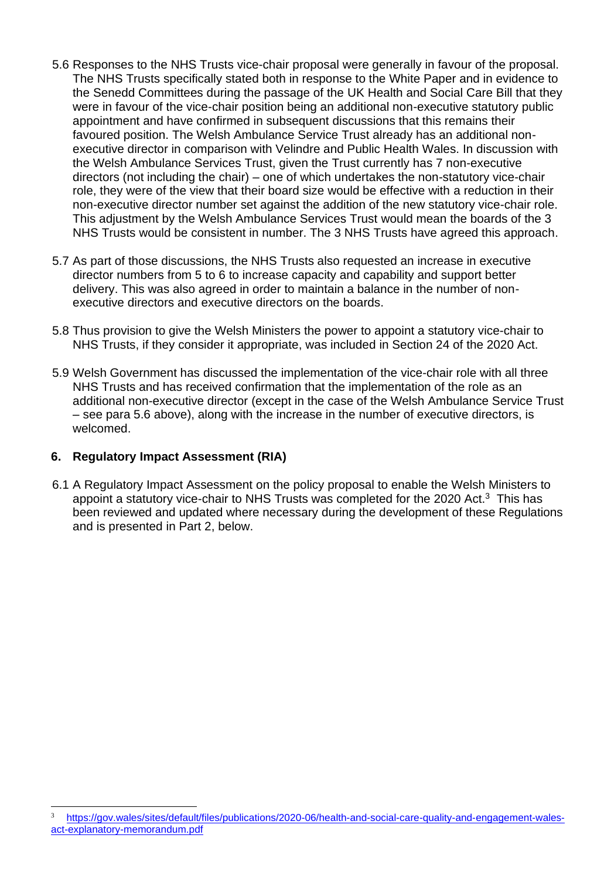- 5.6 Responses to the NHS Trusts vice-chair proposal were generally in favour of the proposal. The NHS Trusts specifically stated both in response to the White Paper and in evidence to the Senedd Committees during the passage of the UK Health and Social Care Bill that they were in favour of the vice-chair position being an additional non-executive statutory public appointment and have confirmed in subsequent discussions that this remains their favoured position. The Welsh Ambulance Service Trust already has an additional nonexecutive director in comparison with Velindre and Public Health Wales. In discussion with the Welsh Ambulance Services Trust, given the Trust currently has 7 non-executive directors (not including the chair) – one of which undertakes the non-statutory vice-chair role, they were of the view that their board size would be effective with a reduction in their non-executive director number set against the addition of the new statutory vice-chair role. This adjustment by the Welsh Ambulance Services Trust would mean the boards of the 3 NHS Trusts would be consistent in number. The 3 NHS Trusts have agreed this approach.
- 5.7 As part of those discussions, the NHS Trusts also requested an increase in executive director numbers from 5 to 6 to increase capacity and capability and support better delivery. This was also agreed in order to maintain a balance in the number of nonexecutive directors and executive directors on the boards.
- 5.8 Thus provision to give the Welsh Ministers the power to appoint a statutory vice-chair to NHS Trusts, if they consider it appropriate, was included in Section 24 of the 2020 Act.
- 5.9 Welsh Government has discussed the implementation of the vice-chair role with all three NHS Trusts and has received confirmation that the implementation of the role as an additional non-executive director (except in the case of the Welsh Ambulance Service Trust – see para 5.6 above), along with the increase in the number of executive directors, is welcomed.

### **6. Regulatory Impact Assessment (RIA)**

6.1 A Regulatory Impact Assessment on the policy proposal to enable the Welsh Ministers to appoint a statutory vice-chair to NHS Trusts was completed for the 2020 Act. $3$  This has been reviewed and updated where necessary during the development of these Regulations and is presented in Part 2, below.

[https://gov.wales/sites/default/files/publications/2020-06/health-and-social-care-quality-and-engagement-wales](https://gov.wales/sites/default/files/publications/2020-06/health-and-social-care-quality-and-engagement-wales-act-explanatory-memorandum.pdf)[act-explanatory-memorandum.pdf](https://gov.wales/sites/default/files/publications/2020-06/health-and-social-care-quality-and-engagement-wales-act-explanatory-memorandum.pdf)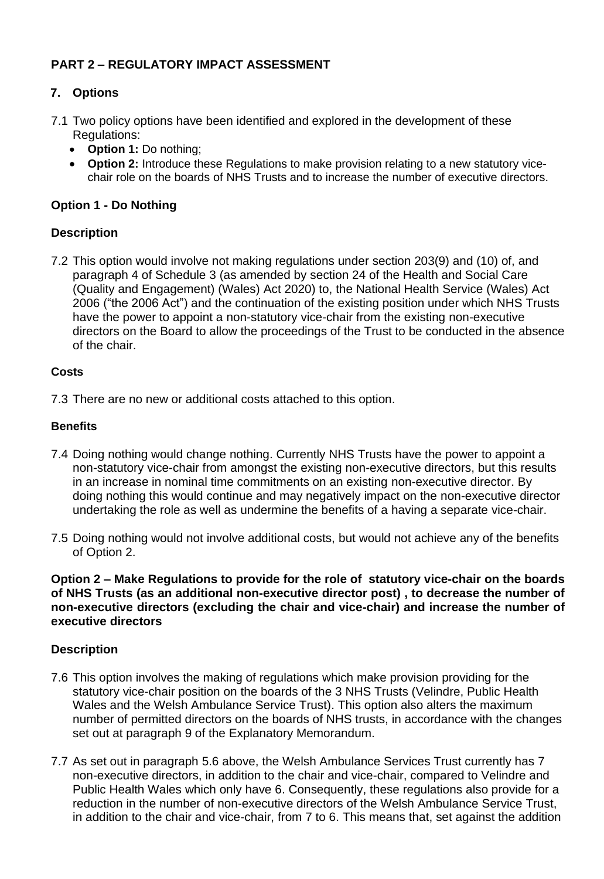# **PART 2 – REGULATORY IMPACT ASSESSMENT**

# **7. Options**

- 7.1 Two policy options have been identified and explored in the development of these Regulations:
	- **Option 1:** Do nothing;
	- **Option 2:** Introduce these Regulations to make provision relating to a new statutory vicechair role on the boards of NHS Trusts and to increase the number of executive directors.

# **Option 1 - Do Nothing**

### **Description**

7.2 This option would involve not making regulations under section 203(9) and (10) of, and paragraph 4 of Schedule 3 (as amended by section 24 of the Health and Social Care (Quality and Engagement) (Wales) Act 2020) to, the National Health Service (Wales) Act 2006 ("the 2006 Act") and the continuation of the existing position under which NHS Trusts have the power to appoint a non-statutory vice-chair from the existing non-executive directors on the Board to allow the proceedings of the Trust to be conducted in the absence of the chair.

#### **Costs**

7.3 There are no new or additional costs attached to this option.

#### **Benefits**

- 7.4 Doing nothing would change nothing. Currently NHS Trusts have the power to appoint a non-statutory vice-chair from amongst the existing non-executive directors, but this results in an increase in nominal time commitments on an existing non-executive director. By doing nothing this would continue and may negatively impact on the non-executive director undertaking the role as well as undermine the benefits of a having a separate vice-chair.
- 7.5 Doing nothing would not involve additional costs, but would not achieve any of the benefits of Option 2.

#### **Option 2 – Make Regulations to provide for the role of statutory vice-chair on the boards of NHS Trusts (as an additional non-executive director post) , to decrease the number of non-executive directors (excluding the chair and vice-chair) and increase the number of executive directors**

### **Description**

- 7.6 This option involves the making of regulations which make provision providing for the statutory vice-chair position on the boards of the 3 NHS Trusts (Velindre, Public Health Wales and the Welsh Ambulance Service Trust). This option also alters the maximum number of permitted directors on the boards of NHS trusts, in accordance with the changes set out at paragraph 9 of the Explanatory Memorandum.
- 7.7 As set out in paragraph 5.6 above, the Welsh Ambulance Services Trust currently has 7 non-executive directors, in addition to the chair and vice-chair, compared to Velindre and Public Health Wales which only have 6. Consequently, these regulations also provide for a reduction in the number of non-executive directors of the Welsh Ambulance Service Trust, in addition to the chair and vice-chair, from 7 to 6. This means that, set against the addition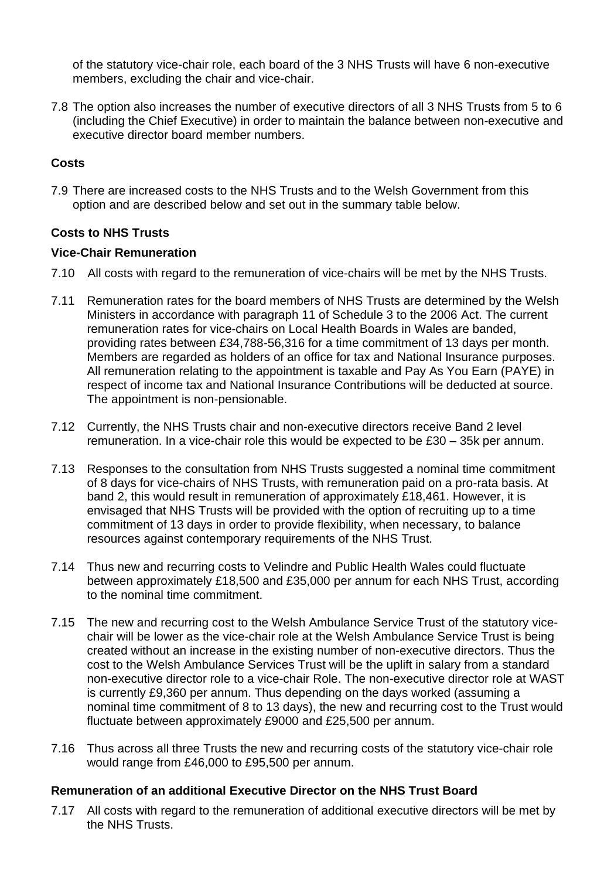of the statutory vice-chair role, each board of the 3 NHS Trusts will have 6 non-executive members, excluding the chair and vice-chair.

7.8 The option also increases the number of executive directors of all 3 NHS Trusts from 5 to 6 (including the Chief Executive) in order to maintain the balance between non-executive and executive director board member numbers.

# **Costs**

7.9 There are increased costs to the NHS Trusts and to the Welsh Government from this option and are described below and set out in the summary table below.

### **Costs to NHS Trusts**

#### **Vice-Chair Remuneration**

- 7.10 All costs with regard to the remuneration of vice-chairs will be met by the NHS Trusts.
- 7.11 Remuneration rates for the board members of NHS Trusts are determined by the Welsh Ministers in accordance with paragraph 11 of Schedule 3 to the 2006 Act. The current remuneration rates for vice-chairs on Local Health Boards in Wales are banded, providing rates between £34,788-56,316 for a time commitment of 13 days per month. Members are regarded as holders of an office for tax and National Insurance purposes. All remuneration relating to the appointment is taxable and Pay As You Earn (PAYE) in respect of income tax and National Insurance Contributions will be deducted at source. The appointment is non-pensionable.
- 7.12 Currently, the NHS Trusts chair and non-executive directors receive Band 2 level remuneration. In a vice-chair role this would be expected to be £30 – 35k per annum.
- 7.13 Responses to the consultation from NHS Trusts suggested a nominal time commitment of 8 days for vice-chairs of NHS Trusts, with remuneration paid on a pro-rata basis. At band 2, this would result in remuneration of approximately £18,461. However, it is envisaged that NHS Trusts will be provided with the option of recruiting up to a time commitment of 13 days in order to provide flexibility, when necessary, to balance resources against contemporary requirements of the NHS Trust.
- 7.14 Thus new and recurring costs to Velindre and Public Health Wales could fluctuate between approximately £18,500 and £35,000 per annum for each NHS Trust, according to the nominal time commitment.
- 7.15 The new and recurring cost to the Welsh Ambulance Service Trust of the statutory vicechair will be lower as the vice-chair role at the Welsh Ambulance Service Trust is being created without an increase in the existing number of non-executive directors. Thus the cost to the Welsh Ambulance Services Trust will be the uplift in salary from a standard non-executive director role to a vice-chair Role. The non-executive director role at WAST is currently £9,360 per annum. Thus depending on the days worked (assuming a nominal time commitment of 8 to 13 days), the new and recurring cost to the Trust would fluctuate between approximately £9000 and £25,500 per annum.
- 7.16 Thus across all three Trusts the new and recurring costs of the statutory vice-chair role would range from £46,000 to £95,500 per annum.

### **Remuneration of an additional Executive Director on the NHS Trust Board**

7.17 All costs with regard to the remuneration of additional executive directors will be met by the NHS Trusts.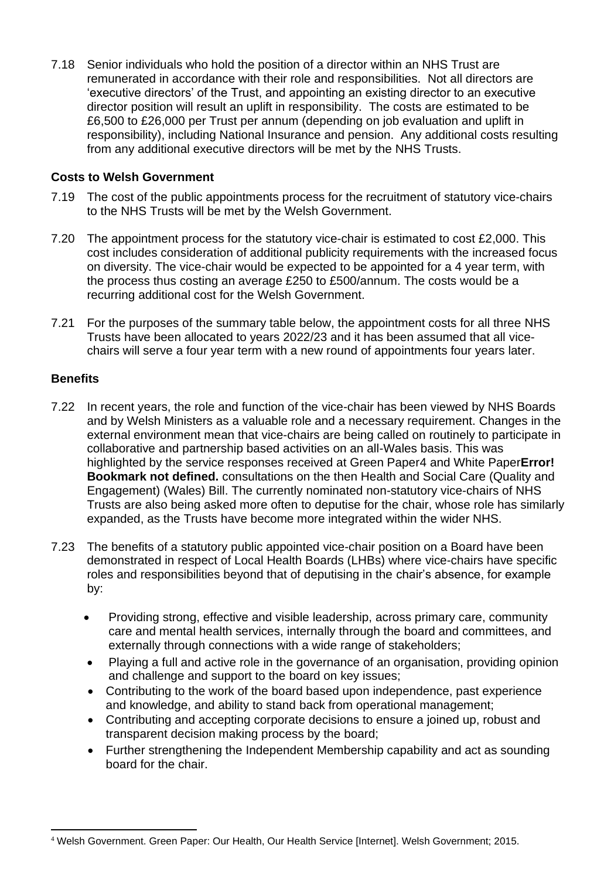7.18 Senior individuals who hold the position of a director within an NHS Trust are remunerated in accordance with their role and responsibilities. Not all directors are 'executive directors' of the Trust, and appointing an existing director to an executive director position will result an uplift in responsibility. The costs are estimated to be £6,500 to £26,000 per Trust per annum (depending on job evaluation and uplift in responsibility), including National Insurance and pension. Any additional costs resulting from any additional executive directors will be met by the NHS Trusts.

### **Costs to Welsh Government**

- 7.19 The cost of the public appointments process for the recruitment of statutory vice-chairs to the NHS Trusts will be met by the Welsh Government.
- 7.20 The appointment process for the statutory vice-chair is estimated to cost £2,000. This cost includes consideration of additional publicity requirements with the increased focus on diversity. The vice-chair would be expected to be appointed for a 4 year term, with the process thus costing an average £250 to £500/annum. The costs would be a recurring additional cost for the Welsh Government.
- 7.21 For the purposes of the summary table below, the appointment costs for all three NHS Trusts have been allocated to years 2022/23 and it has been assumed that all vicechairs will serve a four year term with a new round of appointments four years later.

# **Benefits**

- 7.22 In recent years, the role and function of the vice-chair has been viewed by NHS Boards and by Welsh Ministers as a valuable role and a necessary requirement. Changes in the external environment mean that vice-chairs are being called on routinely to participate in collaborative and partnership based activities on an all-Wales basis. This was highlighted by the service responses received at Green Paper4 and White Paper**Error! Bookmark not defined.** consultations on the then Health and Social Care (Quality and Engagement) (Wales) Bill. The currently nominated non-statutory vice-chairs of NHS Trusts are also being asked more often to deputise for the chair, whose role has similarly expanded, as the Trusts have become more integrated within the wider NHS.
- 7.23 The benefits of a statutory public appointed vice-chair position on a Board have been demonstrated in respect of Local Health Boards (LHBs) where vice-chairs have specific roles and responsibilities beyond that of deputising in the chair's absence, for example by:
	- Providing strong, effective and visible leadership, across primary care, community care and mental health services, internally through the board and committees, and externally through connections with a wide range of stakeholders;
	- Playing a full and active role in the governance of an organisation, providing opinion and challenge and support to the board on key issues;
	- Contributing to the work of the board based upon independence, past experience and knowledge, and ability to stand back from operational management;
	- Contributing and accepting corporate decisions to ensure a joined up, robust and transparent decision making process by the board;
	- Further strengthening the Independent Membership capability and act as sounding board for the chair.

<sup>4</sup> Welsh Government. Green Paper: Our Health, Our Health Service [Internet]. Welsh Government; 2015.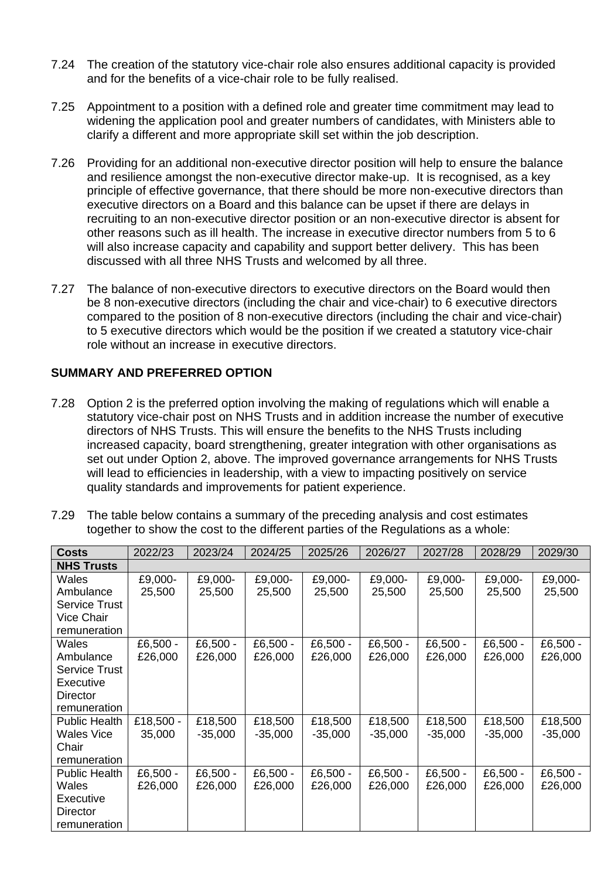- 7.24 The creation of the statutory vice-chair role also ensures additional capacity is provided and for the benefits of a vice-chair role to be fully realised.
- 7.25 Appointment to a position with a defined role and greater time commitment may lead to widening the application pool and greater numbers of candidates, with Ministers able to clarify a different and more appropriate skill set within the job description.
- 7.26 Providing for an additional non-executive director position will help to ensure the balance and resilience amongst the non-executive director make-up. It is recognised, as a key principle of effective governance, that there should be more non-executive directors than executive directors on a Board and this balance can be upset if there are delays in recruiting to an non-executive director position or an non-executive director is absent for other reasons such as ill health. The increase in executive director numbers from 5 to 6 will also increase capacity and capability and support better delivery. This has been discussed with all three NHS Trusts and welcomed by all three.
- 7.27 The balance of non-executive directors to executive directors on the Board would then be 8 non-executive directors (including the chair and vice-chair) to 6 executive directors compared to the position of 8 non-executive directors (including the chair and vice-chair) to 5 executive directors which would be the position if we created a statutory vice-chair role without an increase in executive directors.

### **SUMMARY AND PREFERRED OPTION**

- 7.28 Option 2 is the preferred option involving the making of regulations which will enable a statutory vice-chair post on NHS Trusts and in addition increase the number of executive directors of NHS Trusts. This will ensure the benefits to the NHS Trusts including increased capacity, board strengthening, greater integration with other organisations as set out under Option 2, above. The improved governance arrangements for NHS Trusts will lead to efficiencies in leadership, with a view to impacting positively on service quality standards and improvements for patient experience.
- 7.29 The table below contains a summary of the preceding analysis and cost estimates together to show the cost to the different parties of the Regulations as a whole:

| <b>Costs</b>         | 2022/23    | 2023/24   | 2024/25   | 2025/26   | 2026/27   | 2027/28   | 2028/29   | 2029/30   |
|----------------------|------------|-----------|-----------|-----------|-----------|-----------|-----------|-----------|
| <b>NHS Trusts</b>    |            |           |           |           |           |           |           |           |
| Wales                | £9,000-    | £9,000-   | £9,000-   | £9,000-   | £9,000-   | £9,000-   | £9,000-   | £9,000-   |
| Ambulance            | 25,500     | 25,500    | 25,500    | 25,500    | 25,500    | 25,500    | 25,500    | 25,500    |
| <b>Service Trust</b> |            |           |           |           |           |           |           |           |
| Vice Chair           |            |           |           |           |           |           |           |           |
| remuneration         |            |           |           |           |           |           |           |           |
| Wales                | £6,500 $-$ | £6,500 -  | £6,500 -  | £6,500 -  | £6,500 -  | £6,500 -  | £6,500 -  | £6,500 -  |
| Ambulance            | £26,000    | £26,000   | £26,000   | £26,000   | £26,000   | £26,000   | £26,000   | £26,000   |
| <b>Service Trust</b> |            |           |           |           |           |           |           |           |
| Executive            |            |           |           |           |           |           |           |           |
| Director             |            |           |           |           |           |           |           |           |
| remuneration         |            |           |           |           |           |           |           |           |
| <b>Public Health</b> | £18,500 -  | £18,500   | £18,500   | £18,500   | £18,500   | £18,500   | £18,500   | £18,500   |
| Wales Vice           | 35,000     | $-35,000$ | $-35,000$ | $-35,000$ | $-35,000$ | $-35,000$ | $-35,000$ | $-35,000$ |
| Chair                |            |           |           |           |           |           |           |           |
| remuneration         |            |           |           |           |           |           |           |           |
| Public Health        | £6,500 -   | £6,500 -  | £6,500 -  | £6,500 -  | £6,500 -  | £6,500 -  | £6,500 -  | £6,500 -  |
| Wales                | £26,000    | £26,000   | £26,000   | £26,000   | £26,000   | £26,000   | £26,000   | £26,000   |
| Executive            |            |           |           |           |           |           |           |           |
| Director             |            |           |           |           |           |           |           |           |
| remuneration         |            |           |           |           |           |           |           |           |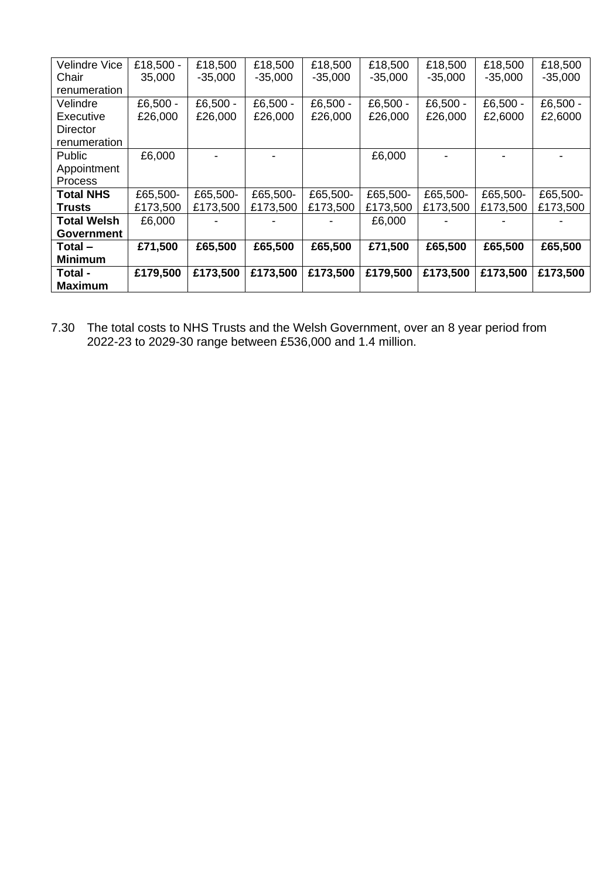| Velindre Vice      | £18,500 - | £18,500    | £18,500    | £18,500    | £18,500    | £18,500    | £18,500    | £18,500   |
|--------------------|-----------|------------|------------|------------|------------|------------|------------|-----------|
| Chair              | 35,000    | $-35,000$  | $-35,000$  | $-35,000$  | $-35,000$  | $-35,000$  | $-35,000$  | $-35,000$ |
| renumeration       |           |            |            |            |            |            |            |           |
| Velindre           | £6,500 -  | £6,500 $-$ | £6,500 $-$ | £6,500 $-$ | £6,500 $-$ | £6,500 $-$ | £6,500 $-$ | £6,500 -  |
| Executive          | £26,000   | £26,000    | £26,000    | £26,000    | £26,000    | £26,000    | £2,6000    | £2,6000   |
| <b>Director</b>    |           |            |            |            |            |            |            |           |
| renumeration       |           |            |            |            |            |            |            |           |
| Public             | £6,000    |            |            |            | £6,000     |            |            |           |
| Appointment        |           |            |            |            |            |            |            |           |
| <b>Process</b>     |           |            |            |            |            |            |            |           |
| <b>Total NHS</b>   | £65,500-  | £65,500-   | £65,500-   | £65,500-   | £65,500-   | £65,500-   | £65,500-   | £65,500-  |
| <b>Trusts</b>      | £173,500  | £173,500   | £173,500   | £173,500   | £173,500   | £173,500   | £173,500   | £173,500  |
| <b>Total Welsh</b> | £6,000    |            |            |            | £6,000     |            |            |           |
| <b>Government</b>  |           |            |            |            |            |            |            |           |
| Total-             | £71,500   | £65,500    | £65,500    | £65,500    | £71,500    | £65,500    | £65,500    | £65,500   |
| <b>Minimum</b>     |           |            |            |            |            |            |            |           |
| Total -            | £179,500  | £173,500   | £173,500   | £173,500   | £179,500   | £173,500   | £173,500   | £173,500  |
| <b>Maximum</b>     |           |            |            |            |            |            |            |           |

7.30 The total costs to NHS Trusts and the Welsh Government, over an 8 year period from 2022-23 to 2029-30 range between £536,000 and 1.4 million.